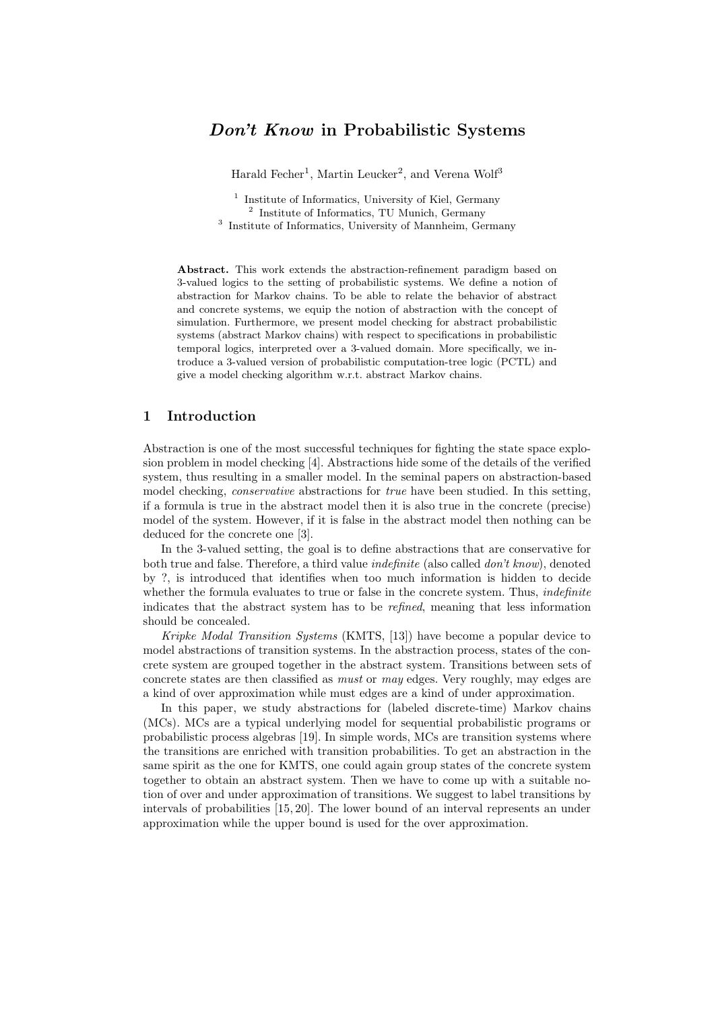# Don't Know in Probabilistic Systems

Harald Fecher<sup>1</sup>, Martin Leucker<sup>2</sup>, and Verena Wolf<sup>3</sup>

1 Institute of Informatics, University of Kiel, Germany 2 Institute of Informatics, TU Munich, Germany

3 Institute of Informatics, University of Mannheim, Germany

Abstract. This work extends the abstraction-refinement paradigm based on 3-valued logics to the setting of probabilistic systems. We define a notion of abstraction for Markov chains. To be able to relate the behavior of abstract and concrete systems, we equip the notion of abstraction with the concept of simulation. Furthermore, we present model checking for abstract probabilistic systems (abstract Markov chains) with respect to specifications in probabilistic temporal logics, interpreted over a 3-valued domain. More specifically, we introduce a 3-valued version of probabilistic computation-tree logic (PCTL) and give a model checking algorithm w.r.t. abstract Markov chains.

### 1 Introduction

Abstraction is one of the most successful techniques for fighting the state space explosion problem in model checking [4]. Abstractions hide some of the details of the verified system, thus resulting in a smaller model. In the seminal papers on abstraction-based model checking, *conservative* abstractions for *true* have been studied. In this setting, if a formula is true in the abstract model then it is also true in the concrete (precise) model of the system. However, if it is false in the abstract model then nothing can be deduced for the concrete one [3].

In the 3-valued setting, the goal is to define abstractions that are conservative for both true and false. Therefore, a third value *indefinite* (also called *don't know*), denoted by ?, is introduced that identifies when too much information is hidden to decide whether the formula evaluates to true or false in the concrete system. Thus, *indefinite* indicates that the abstract system has to be refined, meaning that less information should be concealed.

Kripke Modal Transition Systems (KMTS, [13]) have become a popular device to model abstractions of transition systems. In the abstraction process, states of the concrete system are grouped together in the abstract system. Transitions between sets of concrete states are then classified as must or may edges. Very roughly, may edges are a kind of over approximation while must edges are a kind of under approximation.

In this paper, we study abstractions for (labeled discrete-time) Markov chains (MCs). MCs are a typical underlying model for sequential probabilistic programs or probabilistic process algebras [19]. In simple words, MCs are transition systems where the transitions are enriched with transition probabilities. To get an abstraction in the same spirit as the one for KMTS, one could again group states of the concrete system together to obtain an abstract system. Then we have to come up with a suitable notion of over and under approximation of transitions. We suggest to label transitions by intervals of probabilities [15, 20]. The lower bound of an interval represents an under approximation while the upper bound is used for the over approximation.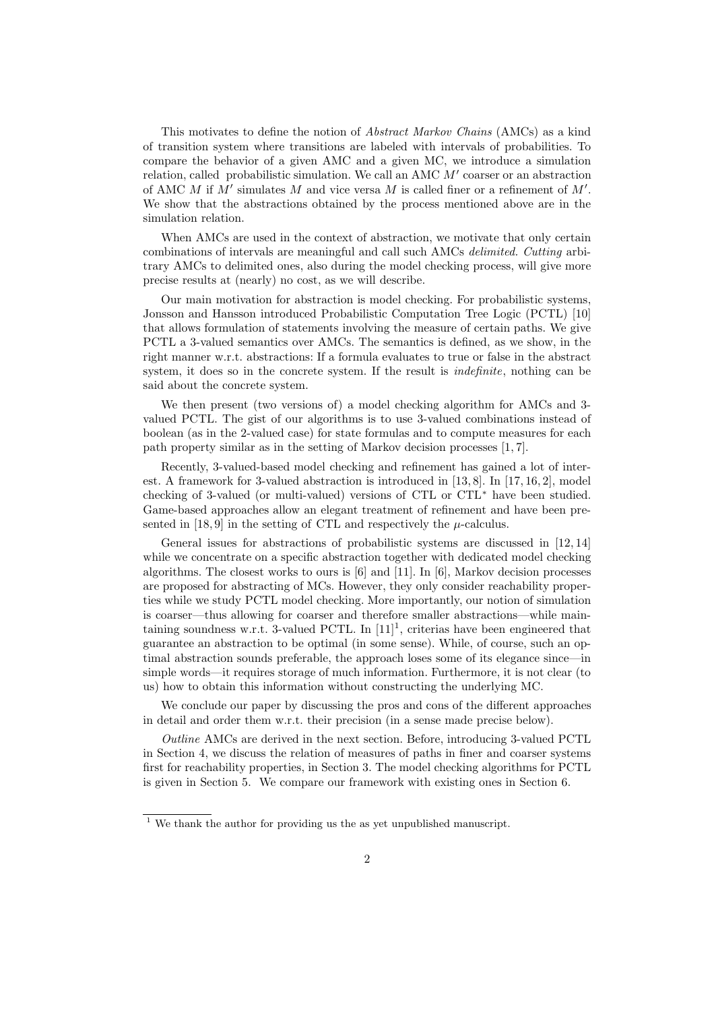This motivates to define the notion of Abstract Markov Chains (AMCs) as a kind of transition system where transitions are labeled with intervals of probabilities. To compare the behavior of a given AMC and a given MC, we introduce a simulation relation, called probabilistic simulation. We call an AMC  $M'$  coarser or an abstraction of AMC  $M$  if  $M'$  simulates  $M$  and vice versa  $M$  is called finer or a refinement of  $M'$ . We show that the abstractions obtained by the process mentioned above are in the simulation relation.

When AMCs are used in the context of abstraction, we motivate that only certain combinations of intervals are meaningful and call such AMCs delimited. Cutting arbitrary AMCs to delimited ones, also during the model checking process, will give more precise results at (nearly) no cost, as we will describe.

Our main motivation for abstraction is model checking. For probabilistic systems, Jonsson and Hansson introduced Probabilistic Computation Tree Logic (PCTL) [10] that allows formulation of statements involving the measure of certain paths. We give PCTL a 3-valued semantics over AMCs. The semantics is defined, as we show, in the right manner w.r.t. abstractions: If a formula evaluates to true or false in the abstract system, it does so in the concrete system. If the result is *indefinite*, nothing can be said about the concrete system.

We then present (two versions of) a model checking algorithm for AMCs and 3 valued PCTL. The gist of our algorithms is to use 3-valued combinations instead of boolean (as in the 2-valued case) for state formulas and to compute measures for each path property similar as in the setting of Markov decision processes [1, 7].

Recently, 3-valued-based model checking and refinement has gained a lot of interest. A framework for 3-valued abstraction is introduced in [13, 8]. In [17, 16, 2], model checking of 3-valued (or multi-valued) versions of CTL or CTL<sup>∗</sup> have been studied. Game-based approaches allow an elegant treatment of refinement and have been presented in [18,9] in the setting of CTL and respectively the  $\mu$ -calculus.

General issues for abstractions of probabilistic systems are discussed in [12, 14] while we concentrate on a specific abstraction together with dedicated model checking algorithms. The closest works to ours is  $[6]$  and  $[11]$ . In  $[6]$ , Markov decision processes are proposed for abstracting of MCs. However, they only consider reachability properties while we study PCTL model checking. More importantly, our notion of simulation is coarser—thus allowing for coarser and therefore smaller abstractions—while maintaining soundness w.r.t. 3-valued PCTL. In  $[11]$ <sup>1</sup>, criterias have been engineered that guarantee an abstraction to be optimal (in some sense). While, of course, such an optimal abstraction sounds preferable, the approach loses some of its elegance since—in simple words—it requires storage of much information. Furthermore, it is not clear (to us) how to obtain this information without constructing the underlying MC.

We conclude our paper by discussing the pros and cons of the different approaches in detail and order them w.r.t. their precision (in a sense made precise below).

Outline AMCs are derived in the next section. Before, introducing 3-valued PCTL in Section 4, we discuss the relation of measures of paths in finer and coarser systems first for reachability properties, in Section 3. The model checking algorithms for PCTL is given in Section 5. We compare our framework with existing ones in Section 6.

 $^{\rm 1}$  We thank the author for providing us the as yet unpublished manuscript.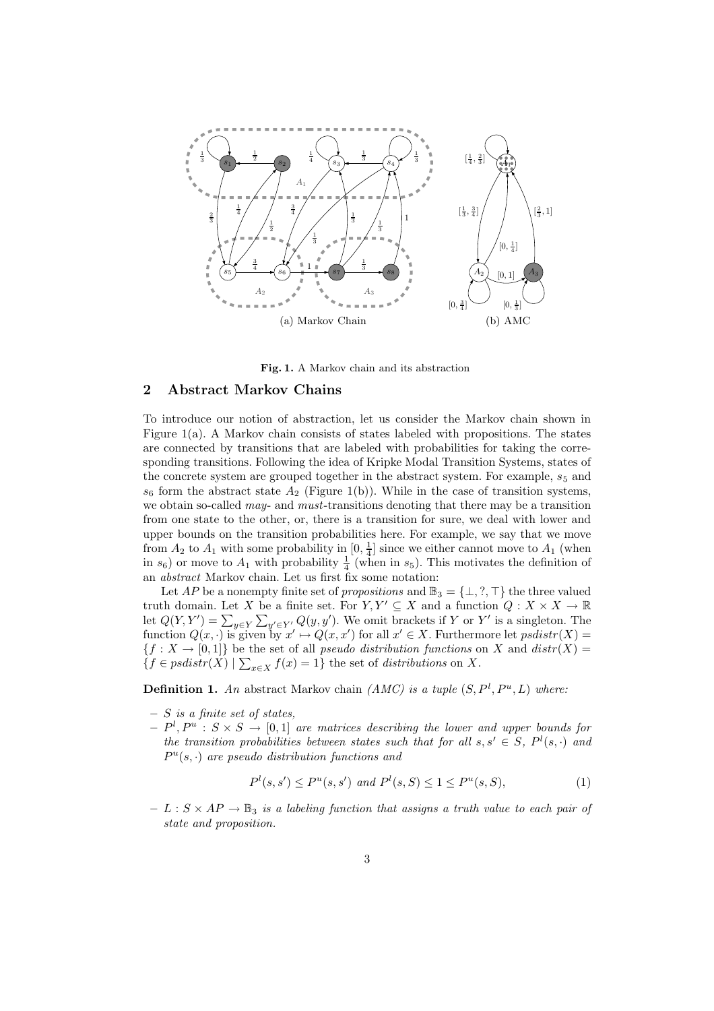

Fig. 1. A Markov chain and its abstraction

## 2 Abstract Markov Chains

To introduce our notion of abstraction, let us consider the Markov chain shown in Figure 1(a). A Markov chain consists of states labeled with propositions. The states are connected by transitions that are labeled with probabilities for taking the corresponding transitions. Following the idea of Kripke Modal Transition Systems, states of the concrete system are grouped together in the abstract system. For example,  $s<sub>5</sub>$  and  $s_6$  form the abstract state  $A_2$  (Figure 1(b)). While in the case of transition systems, we obtain so-called  $may$ - and  $must$ -transitions denoting that there may be a transition from one state to the other, or, there is a transition for sure, we deal with lower and upper bounds on the transition probabilities here. For example, we say that we move from  $A_2$  to  $A_1$  with some probability in  $[0, \frac{1}{4}]$  since we either cannot move to  $A_1$  (when in  $s_6$ ) or move to  $A_1$  with probability  $\frac{1}{4}$  (when in  $s_5$ ). This motivates the definition of an abstract Markov chain. Let us first fix some notation:

Let AP be a nonempty finite set of *propositions* and  $\mathbb{B}_3 = {\perp, ?, \top}$  the three valued truth domain. Let X be a finite set. For  $Y, Y' \subseteq X$  and a function  $Q: X \times X \to \mathbb{R}$ let  $Q(Y, Y') = \sum_{y \in Y} \sum_{y' \in Y'} Q(y, y')$ . We omit brackets if Y or Y' is a singleton. The function  $Q(x, \cdot)$  is given by  $x' \mapsto Q(x, x')$  for all  $x' \in X$ . Furthermore let  $psdistr(X) =$  ${f : X \to [0,1]}$  be the set of all *pseudo distribution functions* on X and  $distr(X) =$  $\{f \in psdistr(X) \mid \sum_{x \in X} f(x) = 1\}$  the set of distributions on X.

**Definition 1.** An abstract Markov chain (AMC) is a tuple  $(S, P<sup>l</sup>, P<sup>u</sup>, L)$  where:

- $S$  is a finite set of states,
- $-P^l, P^u : S \times S \rightarrow [0,1]$  are matrices describing the lower and upper bounds for the transition probabilities between states such that for all  $s, s' \in S$ ,  $P^l(s, \cdot)$  and  $P^u(s, \cdot)$  are pseudo distribution functions and

$$
P^{l}(s,s') \le P^{u}(s,s') \text{ and } P^{l}(s,S) \le 1 \le P^{u}(s,S),\tag{1}
$$

 $- L : S \times AP \rightarrow \mathbb{B}_3$  is a labeling function that assigns a truth value to each pair of state and proposition.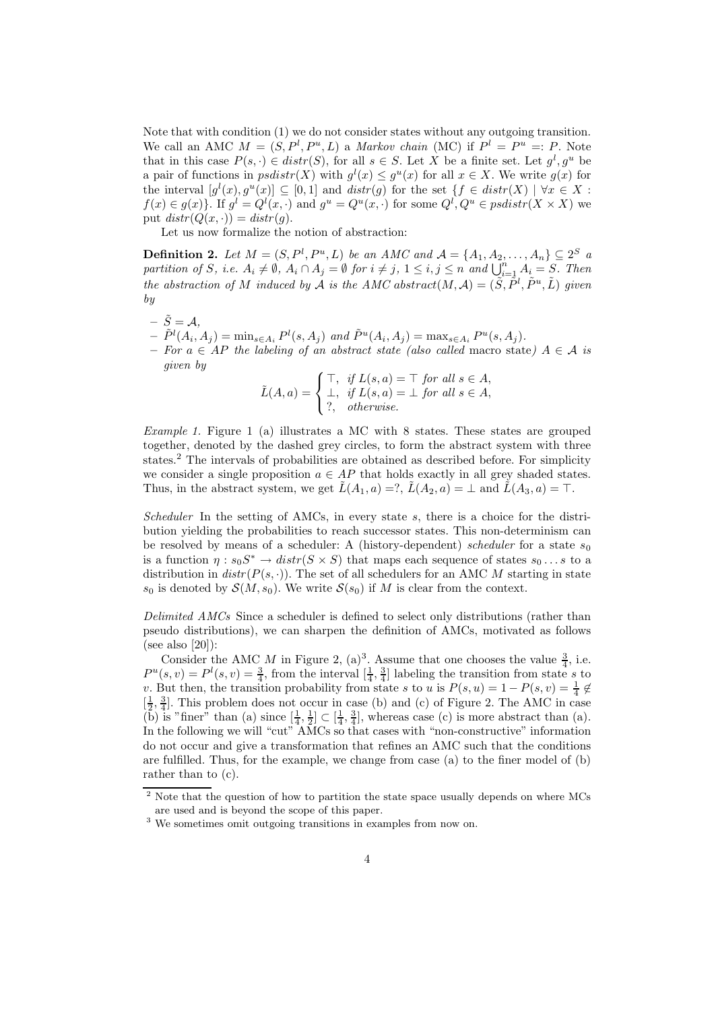Note that with condition (1) we do not consider states without any outgoing transition. We call an AMC  $M = (S, P^l, P^u, L)$  a *Markov chain* (MC) if  $P^l = P^u =: P$ . Note that in this case  $P(s, \cdot) \in distr(S)$ , for all  $s \in S$ . Let X be a finite set. Let  $g^l, g^u$  be a pair of functions in  $psdistr(X)$  with  $g^l(x) \leq g^u(x)$  for all  $x \in X$ . We write  $g(x)$  for the interval  $[g^{l}(x), g^{u}(x)] \subseteq [0,1]$  and  $distr(g)$  for the set  $\{f \in distr(X) \mid \forall x \in X$ :  $f(x) \in g(x)$ . If  $g^l = Q^l(x, \cdot)$  and  $g^u = Q^u(x, \cdot)$  for some  $Q^l, Q^u \in psdistr(X \times X)$  we put  $distr(Q(x, \cdot)) = distr(q)$ .

Let us now formalize the notion of abstraction:

**Definition 2.** Let  $M = (S, P^l, P^u, L)$  be an AMC and  $\mathcal{A} = \{A_1, A_2, \ldots, A_n\} \subseteq 2^S$  a partition of S, i.e.  $A_i \neq \emptyset$ ,  $A_i \cap A_j = \emptyset$  for  $i \neq j$ ,  $1 \leq i, j \leq n$  and  $\bigcup_{i=1}^{n} A_i = S$ . Then the abstraction of M induced by A is the AMC abstract $(M, \mathcal{A}) = (\tilde{S}, \tilde{P}^l, \tilde{P}^u, \tilde{L})$  given by

- $\tilde{S} = \mathcal{A}$ ,
- $-\tilde{P}^{l}(A_{i}, A_{j}) = \min_{s \in A_{i}} P^{l}(s, A_{j})$  and  $\tilde{P}^{u}(A_{i}, A_{j}) = \max_{s \in A_{i}} P^{u}(s, A_{j}).$
- For  $a \in AP$  the labeling of an abstract state (also called macro state)  $A \in \mathcal{A}$  is given by

$$
\tilde{L}(A, a) = \begin{cases}\n\top, & \text{if } L(s, a) = \top \text{ for all } s \in A, \\
\bot, & \text{if } L(s, a) = \bot \text{ for all } s \in A, \\
?, & \text{otherwise.} \n\end{cases}
$$

*Example 1.* Figure 1 (a) illustrates a MC with 8 states. These states are grouped together, denoted by the dashed grey circles, to form the abstract system with three states.<sup>2</sup> The intervals of probabilities are obtained as described before. For simplicity we consider a single proposition  $a \in AP$  that holds exactly in all grey shaded states. Thus, in the abstract system, we get  $\tilde{L}(A_1, a) = ?$ ,  $\tilde{L}(A_2, a) = \perp$  and  $\tilde{L}(A_3, a) = \top$ .

Scheduler In the setting of AMCs, in every state s, there is a choice for the distribution yielding the probabilities to reach successor states. This non-determinism can be resolved by means of a scheduler: A (history-dependent) scheduler for a state  $s_0$ is a function  $\eta: s_0S^* \to distr(S \times S)$  that maps each sequence of states  $s_0 \dots s$  to a distribution in  $distr(P(s, \cdot))$ . The set of all schedulers for an AMC M starting in state  $s_0$  is denoted by  $\mathcal{S}(M, s_0)$ . We write  $\mathcal{S}(s_0)$  if M is clear from the context.

Delimited AMCs Since a scheduler is defined to select only distributions (rather than pseudo distributions), we can sharpen the definition of AMCs, motivated as follows (see also [20]):

Consider the AMC M in Figure 2, (a)<sup>3</sup>. Assume that one chooses the value  $\frac{3}{4}$ , i.e.  $P^u(s, v) = P^l(s, v) = \frac{3}{4}$ , from the interval  $[\frac{1}{4}, \frac{3}{4}]$  labeling the transition from state s to v. But then, the transition probability from state s to u is  $P(s, u) = 1 - P(s, v) = \frac{1}{4} \notin$  $\left[\frac{1}{2},\frac{3}{4}\right]$ . This problem does not occur in case (b) and (c) of Figure 2. The AMC in case (b) is "finer" than (a) since  $[\frac{1}{4}, \frac{1}{2}] \subset [\frac{1}{4}, \frac{3}{4}]$ , whereas case (c) is more abstract than (a). In the following we will "cut" AMCs so that cases with "non-constructive" information do not occur and give a transformation that refines an AMC such that the conditions are fulfilled. Thus, for the example, we change from case (a) to the finer model of (b) rather than to (c).

<sup>&</sup>lt;sup>2</sup> Note that the question of how to partition the state space usually depends on where MCs are used and is beyond the scope of this paper.

<sup>3</sup> We sometimes omit outgoing transitions in examples from now on.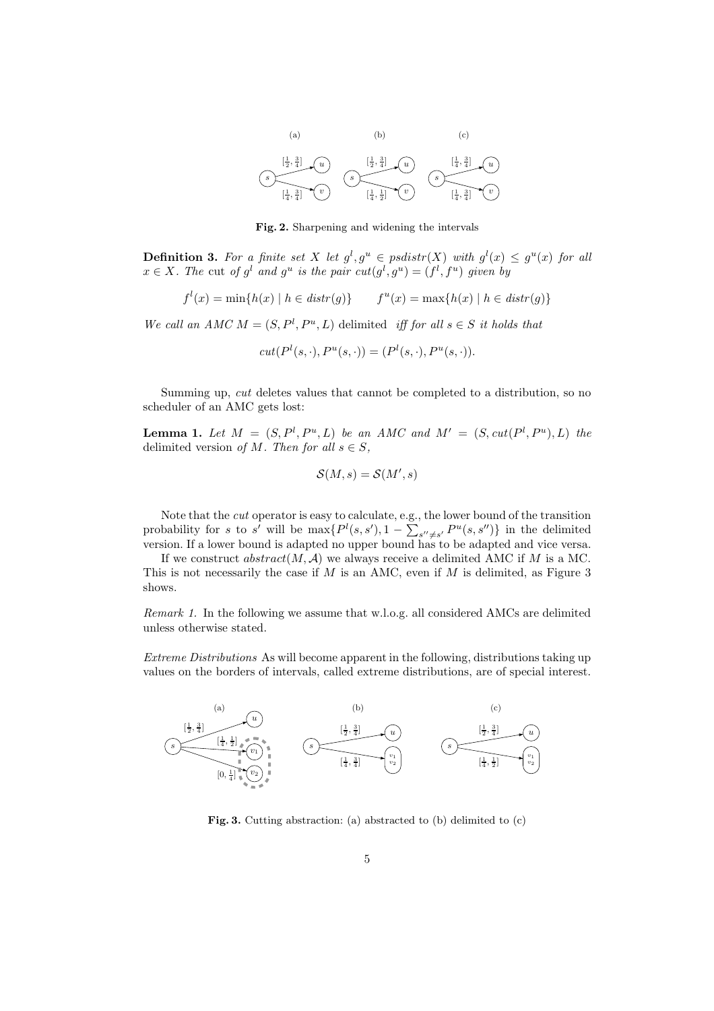

Fig. 2. Sharpening and widening the intervals

**Definition 3.** For a finite set X let  $g^l, g^u \in psdistr(X)$  with  $g^l(x) \leq g^u(x)$  for all  $x \in X$ . The cut of  $g^l$  and  $g^u$  is the pair  $cut(g^l, g^u) = (f^l, f^u)$  given by

$$
f^{l}(x) = \min\{h(x) \mid h \in \text{distr}(g)\} \qquad f^{u}(x) = \max\{h(x) \mid h \in \text{distr}(g)\}\
$$

We call an AMC  $M = (S, P^l, P^u, L)$  delimited iff for all  $s \in S$  it holds that

$$
cut(P^{l}(s,\cdot), P^{u}(s,\cdot)) = (P^{l}(s,\cdot), P^{u}(s,\cdot)).
$$

Summing up, cut deletes values that cannot be completed to a distribution, so no scheduler of an AMC gets lost:

**Lemma 1.** Let  $M = (S, P^l, P^u, L)$  be an AMC and  $M' = (S, cut(P^l, P^u), L)$  the delimited version of M. Then for all  $s \in S$ ,

$$
\mathcal{S}(M,s) = \mathcal{S}(M',s)
$$

Note that the cut operator is easy to calculate, e.g., the lower bound of the transition probability for s to s' will be  $\max\{P^l(s, s'), 1 - \sum_{s'' \neq s'} P^u(s, s'')\}$  in the delimited version. If a lower bound is adapted no upper bound has to be adapted and vice versa.

If we construct  $abstract(M, \mathcal{A})$  we always receive a delimited AMC if M is a MC. This is not necessarily the case if  $M$  is an AMC, even if  $M$  is delimited, as Figure 3 shows.

Remark 1. In the following we assume that w.l.o.g. all considered AMCs are delimited unless otherwise stated.

Extreme Distributions As will become apparent in the following, distributions taking up values on the borders of intervals, called extreme distributions, are of special interest.



Fig. 3. Cutting abstraction: (a) abstracted to (b) delimited to (c)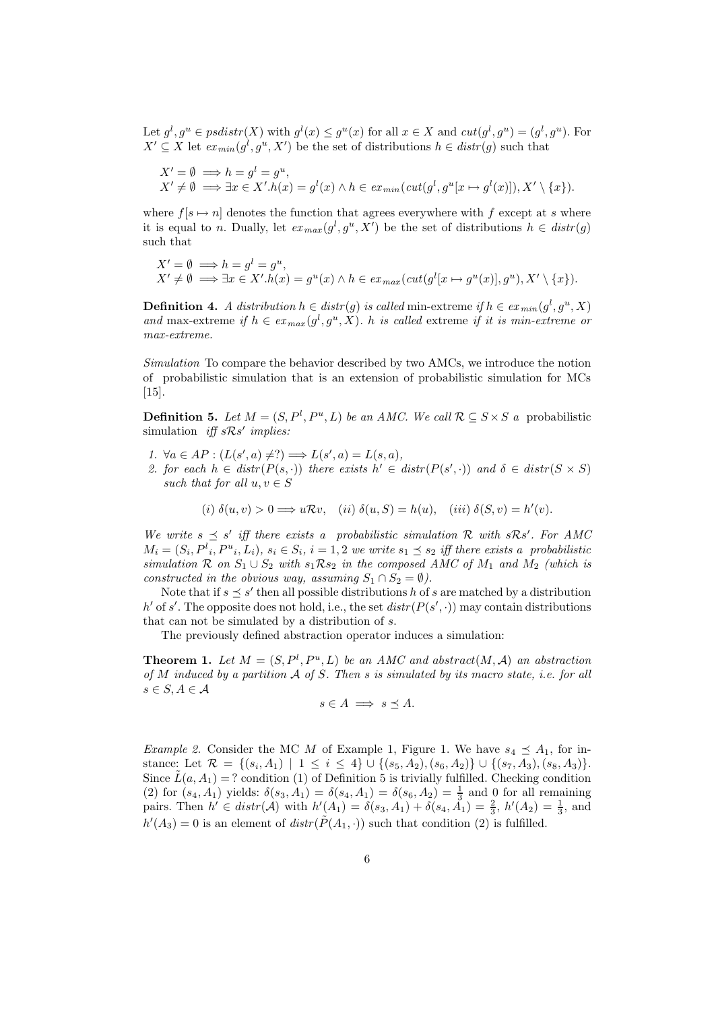Let  $g^l, g^u \in psdistr(X)$  with  $g^l(x) \leq g^u(x)$  for all  $x \in X$  and  $cut(g^l, g^u) = (g^l, g^u)$ . For  $X' \subseteq X$  let  $ex_{min}(g^{l}, g^{u}, X')$  be the set of distributions  $h \in distr(g)$  such that

$$
\begin{aligned} X' &= \emptyset \implies h = g^l = g^u, \\ X' &\neq \emptyset \implies \exists x \in X'.h(x) = g^l(x) \land h \in ex_{\min}\left(\operatorname{cut}(g^l, g^u[x \mapsto g^l(x)]), X' \setminus \{x\}\right). \end{aligned}
$$

where  $f[s \mapsto n]$  denotes the function that agrees everywhere with f except at s where it is equal to n. Dually, let  $ex_{max}(g^{l}, g^{u}, X')$  be the set of distributions  $h \in distr(g)$ such that

$$
\begin{aligned} X' &= \emptyset \implies h = g^l = g^u, \\ X' & \neq \emptyset \implies \exists x \in X'.h(x) = g^u(x) \land h \in ex_{\max}\left(\text{cut}(g^l[x \mapsto g^u(x)], g^u), X' \setminus \{x\}\right). \end{aligned}
$$

**Definition 4.** A distribution  $h \in distr(g)$  is called min-extreme if  $h \in ex_{min}(g^l, g^u, X)$ and max-extreme if  $h \in ex_{max}(g^l, g^u, X)$ . h is called extreme if it is min-extreme or max-extreme.

Simulation To compare the behavior described by two AMCs, we introduce the notion of probabilistic simulation that is an extension of probabilistic simulation for MCs [15].

**Definition 5.** Let  $M = (S, P^l, P^u, L)$  be an AMC. We call  $\mathcal{R} \subseteq S \times S$  a probabilistic simulation iff  $s\mathcal{R}s'$  implies:

- 1.  $\forall a \in AP : (L(s', a) \neq ?) \Longrightarrow L(s', a) = L(s, a),$
- 2. for each  $h \in \text{distr}(P(s, \cdot))$  there exists  $h' \in \text{distr}(P(s', \cdot))$  and  $\delta \in \text{distr}(S \times S)$ such that for all  $u, v \in S$

(i) 
$$
\delta(u, v) > 0 \Longrightarrow u \mathcal{R}v
$$
, (ii)  $\delta(u, S) = h(u)$ , (iii)  $\delta(S, v) = h'(v)$ .

We write  $s \preceq s'$  iff there exists a probabilistic simulation R with sRs'. For AMC  $M_i = (S_i, P^l_i, P^u_i, L_i), s_i \in S_i, i = 1, 2$  we write  $s_1 \preceq s_2$  iff there exists a probabilistic simulation R on  $S_1 \cup S_2$  with  $s_1 \mathcal{R} s_2$  in the composed AMC of  $M_1$  and  $M_2$  (which is constructed in the obvious way, assuming  $S_1 \cap S_2 = \emptyset$ .

Note that if  $s \preceq s'$  then all possible distributions h of s are matched by a distribution h' of s'. The opposite does not hold, i.e., the set  $distr(P(s',\cdot))$  may contain distributions that can not be simulated by a distribution of s.

The previously defined abstraction operator induces a simulation:

**Theorem 1.** Let  $M = (S, P^l, P^u, L)$  be an AMC and abstract(M, A) an abstraction of  $M$  induced by a partition  $A$  of  $S$ . Then  $s$  is simulated by its macro state, i.e. for all  $s \in S, A \in \mathcal{A}$ 

$$
s \in A \implies s \preceq A.
$$

*Example 2.* Consider the MC M of Example 1, Figure 1. We have  $s_4 \preceq A_1$ , for instance: Let  $\mathcal{R} = \{ (s_i, A_1) \mid 1 \leq i \leq 4 \} \cup \{ (s_5, A_2), (s_6, A_2) \} \cup \{ (s_7, A_3), (s_8, A_3) \}.$ Since  $\tilde{L}(a, A_1) = ?$  condition (1) of Definition 5 is trivially fulfilled. Checking condition (2) for  $(s_4, A_1)$  yields:  $\delta(s_3, A_1) = \delta(s_4, A_1) = \delta(s_6, A_2) = \frac{1}{3}$  and 0 for all remaining pairs. Then  $h' \in distr(A)$  with  $h'(A_1) = \delta(s_3, A_1) + \delta(s_4, A_1) = \frac{2}{3}$ ,  $h'(A_2) = \frac{1}{3}$ , and  $h'(A_3) = 0$  is an element of  $distr(\tilde{P}(A_1, \cdot))$  such that condition (2) is fulfilled.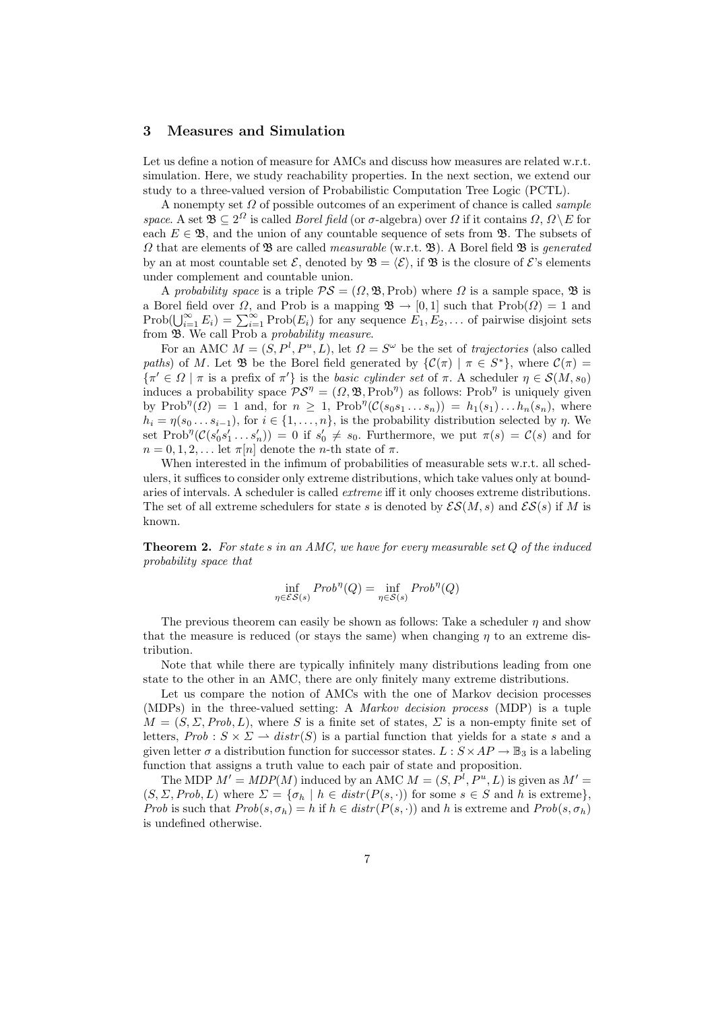#### 3 Measures and Simulation

Let us define a notion of measure for AMCs and discuss how measures are related w.r.t. simulation. Here, we study reachability properties. In the next section, we extend our study to a three-valued version of Probabilistic Computation Tree Logic (PCTL).

A nonempty set  $\Omega$  of possible outcomes of an experiment of chance is called *sample* space. A set  $\mathfrak{B} \subseteq 2^{\Omega}$  is called *Borel field* (or  $\sigma$ -algebra) over  $\Omega$  if it contains  $\Omega$ ,  $\Omega \setminus E$  for each  $E \in \mathfrak{B}$ , and the union of any countable sequence of sets from  $\mathfrak{B}$ . The subsets of  $\Omega$  that are elements of  $\mathfrak{B}$  are called measurable (w.r.t.  $\mathfrak{B}$ ). A Borel field  $\mathfrak{B}$  is generated by an at most countable set  $\mathcal{E}$ , denoted by  $\mathfrak{B} = \langle \mathcal{E} \rangle$ , if  $\mathfrak{B}$  is the closure of  $\mathcal{E}$ 's elements under complement and countable union.

A probability space is a triple  $\mathcal{PS} = (\Omega, \mathfrak{B}, \text{Prob})$  where  $\Omega$  is a sample space,  $\mathfrak{B}$  is a Borel field over  $\Omega$ , and Prob is a mapping  $\mathfrak{B} \to [0,1]$  such that Prob $(\Omega) = 1$  and  $\text{Prob}(\bigcup_{i=1}^{\infty} E_i) = \sum_{i=1}^{\infty} \text{Prob}(E_i)$  for any sequence  $E_1, E_2, \dots$  of pairwise disjoint sets from B. We call Prob a probability measure.

For an AMC  $M = (S, P^l, P^u, L)$ , let  $\Omega = S^{\omega}$  be the set of trajectories (also called paths) of M. Let **B** be the Borel field generated by  $\{\mathcal{C}(\pi) | \pi \in S^*\}$ , where  $\mathcal{C}(\pi) =$  $\{\pi' \in \Omega \mid \pi \text{ is a prefix of } \pi'\}$  is the basic cylinder set of  $\pi$ . A scheduler  $\eta \in \mathcal{S}(M, s_0)$ induces a probability space  $\mathcal{PS}^{\eta} = (\Omega, \mathfrak{B}, \text{Prob}^{\eta})$  as follows: Prob<sup> $\eta$ </sup> is uniquely given by Prob<sup> $\eta(\Omega) = 1$  and, for  $n \geq 1$ , Prob $\eta(\mathcal{C}(s_0s_1...s_n)) = h_1(s_1)...h_n(s_n)$ , where</sup>  $h_i = \eta(s_0 \ldots s_{i-1}),$  for  $i \in \{1, \ldots, n\}$ , is the probability distribution selected by  $\eta$ . We set  $Prob^{\eta}(\mathcal{C}(s'_0s'_1 \ldots s'_n)) = 0$  if  $s'_0 \neq s_0$ . Furthermore, we put  $\pi(s) = \mathcal{C}(s)$  and for  $n = 0, 1, 2, \dots$  let  $\pi[n]$  denote the *n*-th state of  $\pi$ .

When interested in the infimum of probabilities of measurable sets w.r.t. all schedulers, it suffices to consider only extreme distributions, which take values only at boundaries of intervals. A scheduler is called extreme iff it only chooses extreme distributions. The set of all extreme schedulers for state s is denoted by  $\mathcal{ES}(M, s)$  and  $\mathcal{ES}(s)$  if M is known.

**Theorem 2.** For state s in an AMC, we have for every measurable set  $Q$  of the induced probability space that

$$
\inf_{\eta \in \mathcal{E}S(s)} Prob^{\eta}(Q) = \inf_{\eta \in S(s)} Prob^{\eta}(Q)
$$

The previous theorem can easily be shown as follows: Take a scheduler  $\eta$  and show that the measure is reduced (or stays the same) when changing  $\eta$  to an extreme distribution.

Note that while there are typically infinitely many distributions leading from one state to the other in an AMC, there are only finitely many extreme distributions.

Let us compare the notion of AMCs with the one of Markov decision processes (MDPs) in the three-valued setting: A Markov decision process (MDP) is a tuple  $M = (S, \Sigma, Prob, L)$ , where S is a finite set of states,  $\Sigma$  is a non-empty finite set of letters,  $Prob : S \times \Sigma \longrightarrow distr(S)$  is a partial function that yields for a state s and a given letter  $\sigma$  a distribution function for successor states.  $L : S \times AP \rightarrow \mathbb{B}_3$  is a labeling function that assigns a truth value to each pair of state and proposition.

The MDP  $M' = MDP(M)$  induced by an AMC  $M = (S, P^l, P^u, L)$  is given as  $M' =$  $(S, \Sigma, Prob, L)$  where  $\Sigma = {\sigma_h \mid h \in distr(P(s, \cdot))$  for some  $s \in S$  and h is extreme}, Prob is such that  $Prob(s, \sigma_h) = h$  if  $h \in distr(P(s, \cdot))$  and h is extreme and  $Prob(s, \sigma_h)$ is undefined otherwise.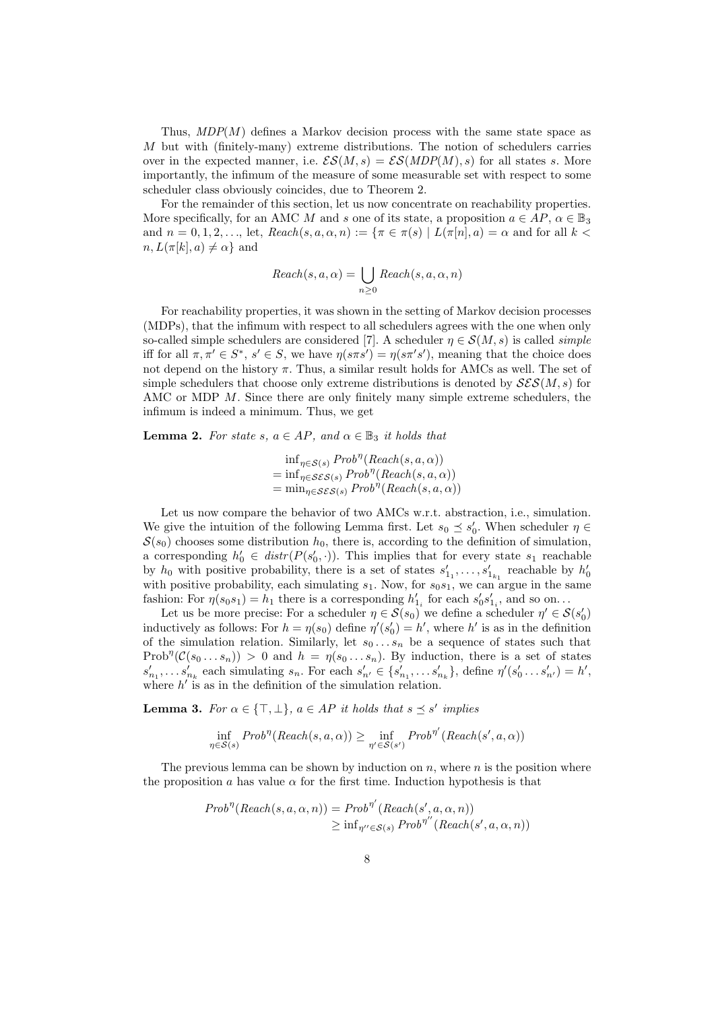Thus,  $MDP(M)$  defines a Markov decision process with the same state space as M but with (finitely-many) extreme distributions. The notion of schedulers carries over in the expected manner, i.e.  $\mathcal{ES}(M, s) = \mathcal{ES}(MDP(M), s)$  for all states s. More importantly, the infimum of the measure of some measurable set with respect to some scheduler class obviously coincides, due to Theorem 2.

For the remainder of this section, let us now concentrate on reachability properties. More specifically, for an AMC M and s one of its state, a proposition  $a \in AP$ ,  $\alpha \in \mathbb{B}_3$ and  $n = 0, 1, 2, \ldots$ , let,  $Reach(s, a, \alpha, n) := \{\pi \in \pi(s) \mid L(\pi[n], a) = \alpha \text{ and for all } k \leq$  $n, L(\pi[k], a) \neq \alpha$  and

$$
Reach(s, a, \alpha) = \bigcup_{n \ge 0}Reach(s, a, \alpha, n)
$$

For reachability properties, it was shown in the setting of Markov decision processes (MDPs), that the infimum with respect to all schedulers agrees with the one when only so-called simple schedulers are considered [7]. A scheduler  $\eta \in \mathcal{S}(M, s)$  is called *simple* iff for all  $\pi, \pi' \in S^*$ ,  $s' \in S$ , we have  $\eta(s\pi s') = \eta(s\pi's')$ , meaning that the choice does not depend on the history  $\pi$ . Thus, a similar result holds for AMCs as well. The set of simple schedulers that choose only extreme distributions is denoted by  $\mathcal{S}\mathcal{E}\mathcal{S}(M, s)$  for AMC or MDP M. Since there are only finitely many simple extreme schedulers, the infimum is indeed a minimum. Thus, we get

**Lemma 2.** For state s,  $a \in AP$ , and  $\alpha \in \mathbb{B}_3$  it holds that

 $\inf_{\eta \in \mathcal{S}(s)} Prob^{\eta}(Reach(s, a, \alpha))$  $= \inf_{\eta \in \mathcal{SES}(s)} Prob^{\eta}(Reach(s, a, \alpha))$  $= \min_{\eta \in \mathcal{SES}(s)} Prob^{\eta}(Reach(s, a, \alpha))$ 

Let us now compare the behavior of two AMCs w.r.t. abstraction, i.e., simulation. We give the intuition of the following Lemma first. Let  $s_0 \preceq s_0'$ . When scheduler  $\eta \in$  $S(s_0)$  chooses some distribution  $h_0$ , there is, according to the definition of simulation, a corresponding  $h'_0 \in \text{distr}(P(s'_0, \cdot))$ . This implies that for every state  $s_1$  reachable by  $h_0$  with positive probability, there is a set of states  $s'_{1_1}, \ldots, s'_{1_{k_1}}$  reachable by  $h'_0$ with positive probability, each simulating  $s_1$ . Now, for  $s_0s_1$ , we can argue in the same fashion: For  $\eta(s_0s_1) = h_1$  there is a corresponding  $h'_{1_i}$  for each  $s'_0s'_{1_i}$ , and so on...

Let us be more precise: For a scheduler  $\eta \in \mathcal{S}(s_0)$  we define a scheduler  $\eta' \in \mathcal{S}(s'_0)$ inductively as follows: For  $h = \eta(s_0)$  define  $\eta'(s'_0) = h'$ , where  $h'$  is as in the definition of the simulation relation. Similarly, let  $s_0 \ldots s_n$  be a sequence of states such that  $Prob<sup>\eta</sup>(\mathcal{C}(s_0...s_n)) > 0$  and  $h = \eta(s_0...s_n)$ . By induction, there is a set of states  $s'_{n_1}, \ldots s'_{n_k}$  each simulating  $s_n$ . For each  $s'_{n'} \in \{s'_{n_1}, \ldots s'_{n_k}\}\$ , define  $\eta'(s'_0 \ldots s'_{n'}) = h'$ , where  $h'$  is as in the definition of the simulation relation.

**Lemma 3.** For  $\alpha \in \{\top, \bot\}$ ,  $a \in AP$  it holds that  $s \preceq s'$  implies

$$
\inf_{\eta \in S(s)} Prob^{\eta}(Reach(s, a, \alpha)) \ge \inf_{\eta' \in S(s')} Prob^{\eta'}(Reach(s', a, \alpha))
$$

The previous lemma can be shown by induction on  $n$ , where  $n$  is the position where the proposition a has value  $\alpha$  for the first time. Induction hypothesis is that

$$
Prob^{\eta}(Reach(s, a, \alpha, n)) = Prob^{\eta'}(Reach(s', a, \alpha, n))
$$
  
 
$$
\geq \inf_{\eta'' \in S(s)} Prob^{\eta''}(Reach(s', a, \alpha, n))
$$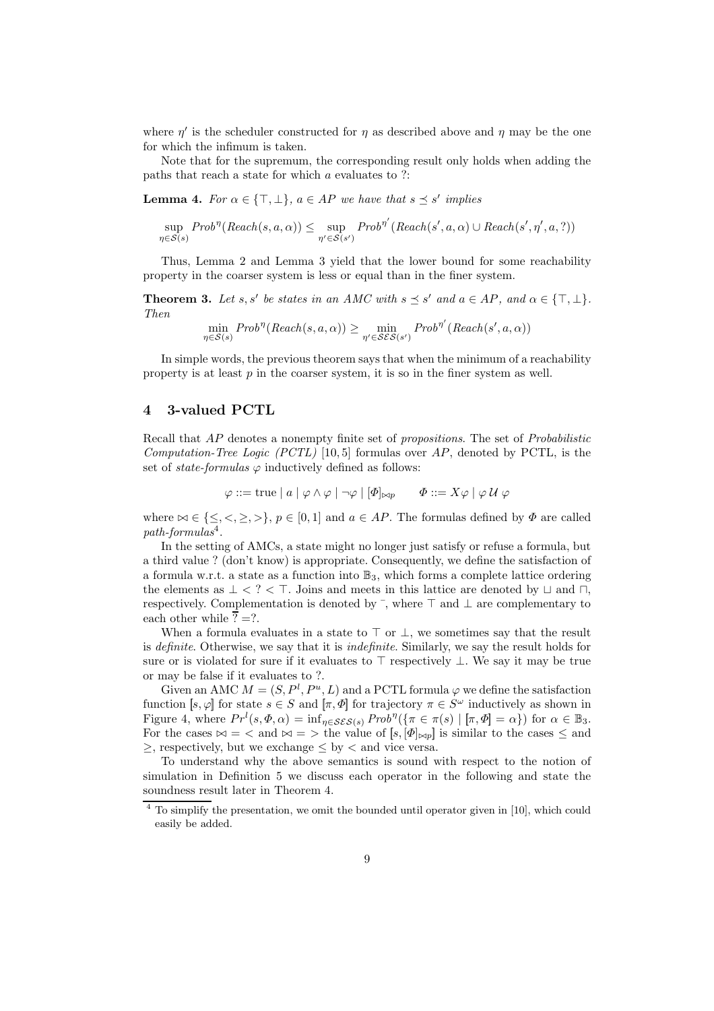where  $\eta'$  is the scheduler constructed for  $\eta$  as described above and  $\eta$  may be the one for which the infimum is taken.

Note that for the supremum, the corresponding result only holds when adding the paths that reach a state for which a evaluates to ?:

**Lemma 4.** For  $\alpha \in \{\top, \bot\}$ ,  $a \in AP$  we have that  $s \preceq s'$  implies

$$
\sup_{\eta \in S(s)} Prob^{\eta}(Reach(s, a, \alpha)) \leq \sup_{\eta' \in S(s')} Prob^{\eta'}(Reach(s', a, \alpha) \cup Readh(s', \eta', a, ?))
$$

Thus, Lemma 2 and Lemma 3 yield that the lower bound for some reachability property in the coarser system is less or equal than in the finer system.

**Theorem 3.** Let s, s' be states in an AMC with  $s \preceq s'$  and  $a \in AP$ , and  $\alpha \in \{\top, \bot\}$ . Then

 $\min_{\eta \in \mathcal{S}(s)} Prob^{\eta}(Reach(s, a, \alpha)) \geq \min_{\eta' \in \mathcal{SES}(s')} Prob^{\eta'}(Reach(s', a, \alpha))$ 

In simple words, the previous theorem says that when the minimum of a reachability property is at least  $p$  in the coarser system, it is so in the finer system as well.

### 4 3-valued PCTL

Recall that AP denotes a nonempty finite set of *propositions*. The set of *Probabilistic* Computation-Tree Logic (PCTL) [10,5] formulas over  $AP$ , denoted by PCTL, is the set of *state-formulas*  $\varphi$  inductively defined as follows:

$$
\varphi ::= \text{true} \mid a \mid \varphi \land \varphi \mid \neg \varphi \mid [\varPhi]_{\bowtie p} \qquad \varPhi ::= X \varphi \mid \varphi \mathcal{U} \varphi
$$

where  $\bowtie \in \{\leq, <, \geq, >\}, p \in [0, 1]$  and  $a \in AP$ . The formulas defined by  $\Phi$  are called  $path-formulas<sup>4</sup>$ .

In the setting of AMCs, a state might no longer just satisfy or refuse a formula, but a third value ? (don't know) is appropriate. Consequently, we define the satisfaction of a formula w.r.t. a state as a function into  $\mathbb{B}_3$ , which forms a complete lattice ordering the elements as  $\perp < ? < \top$ . Joins and meets in this lattice are denoted by  $\sqcup$  and  $\sqcap$ , respectively. Complementation is denoted by  $\bar{\phantom{a}}$ , where  $\bar{\phantom{a}}$  and  $\bar{\phantom{a}}$  are complementary to each other while  $\overline{?}$  =?.

When a formula evaluates in a state to  $\top$  or  $\bot$ , we sometimes say that the result is *definite*. Otherwise, we say that it is *indefinite*. Similarly, we say the result holds for sure or is violated for sure if it evaluates to  $\top$  respectively  $\bot$ . We say it may be true or may be false if it evaluates to ?.

Given an AMC  $M = (S, P^l, P^u, L)$  and a PCTL formula  $\varphi$  we define the satisfaction function  $[s, \varphi]$  for state  $s \in S$  and  $[\pi, \varPhi]$  for trajectory  $\pi \in S^{\omega}$  inductively as shown in Figure 4, where  $Pr^{l}(s, \Phi, \alpha) = \inf_{\eta \in \mathcal{SES}(s)} Prob^{\eta}(\{\pi \in \pi(s) \mid [\pi, \Phi] = \alpha\})$  for  $\alpha \in \mathbb{B}_{3}$ . For the cases  $\bowtie$  = < and  $\bowtie$  = > the value of  $[s, [\Phi]_{\bowtie p}]$  is similar to the cases  $\leq$  and ≥, respectively, but we exchange ≤ by < and vice versa.

To understand why the above semantics is sound with respect to the notion of simulation in Definition 5 we discuss each operator in the following and state the soundness result later in Theorem 4.

<sup>4</sup> To simplify the presentation, we omit the bounded until operator given in [10], which could easily be added.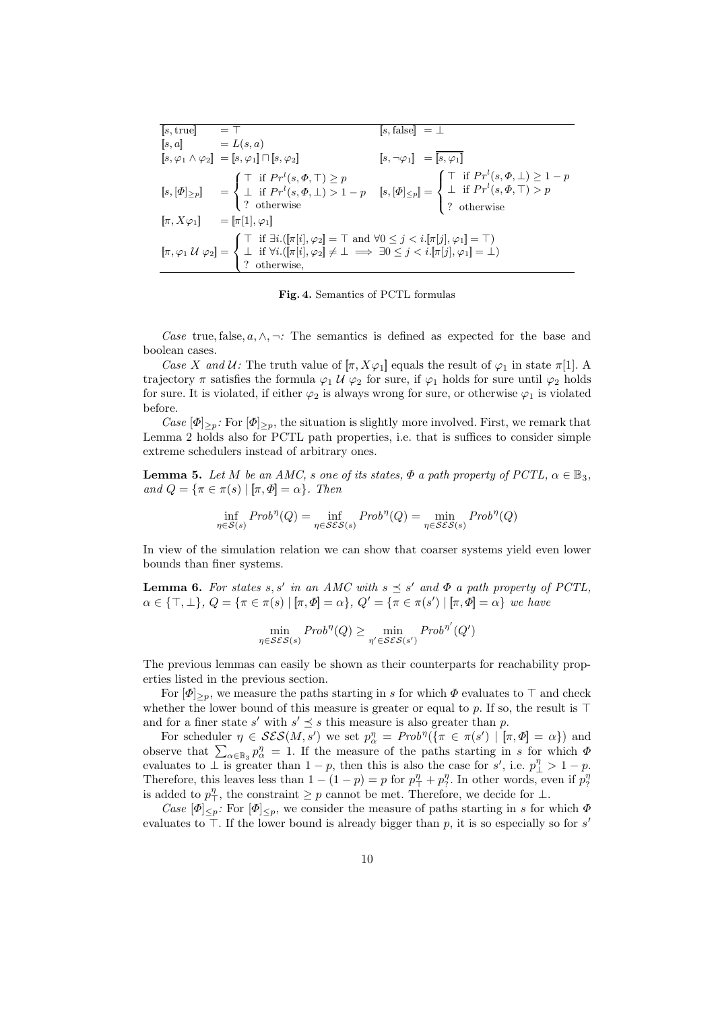| $[s, true]$                       | $= T$                                                                                                                                                                        | $[s, false]$                                                                                                                                                                | $= \bot$                               |
|-----------------------------------|------------------------------------------------------------------------------------------------------------------------------------------------------------------------------|-----------------------------------------------------------------------------------------------------------------------------------------------------------------------------|----------------------------------------|
| $[s, a]$                          | $= L(s, a)$                                                                                                                                                                  | $[s, \neg \varphi_1]$                                                                                                                                                       | $= [s, \varphi_1] \cap [s, \varphi_2]$ |
| $[s, \varphi_1 \land \varphi_2]$  | $[s, \neg \varphi_1]$                                                                                                                                                        | $= [s, \varphi_1]$                                                                                                                                                          |                                        |
| $[s, [\varPhi]_{\geq p}]$         | $= \begin{cases} T & \text{if } Pr^l(s, \varPhi, T) \geq p \\ \bot & \text{if } Pr^l(s, \varPhi, \bot) > 1 - p \\ ? & \text{otherwise} \end{cases}$                          | $[s, [\varPhi]_{\leq p}] = \begin{cases} T & \text{if } Pr^l(s, \varPhi, \bot) > 1 - p \\ \bot & \text{if } Pr^l(s, \varPhi, \top) > p \\ ? & \text{otherwise} \end{cases}$ |                                        |
| $[\pi, X\varphi_1]$               | $= [\pi[1], \varphi_1]$                                                                                                                                                      |                                                                                                                                                                             |                                        |
| $[\pi, \varphi_1 \cup \varphi_2]$ | $= \begin{cases} T & \text{if } \exists i. ([\pi[i], \varphi_2] = \top \text{ and } \forall 0 \leq j < i. [\pi[j], \varphi_1] = \top) \\ ? & \text{otherwise} \end{cases}$   |                                                                                                                                                                             |                                        |
| $[\pi, \varphi_1 \cup \varphi_2]$ | $= \begin{cases} \bot & \text{if } \forall i. ([\pi[i], \varphi_2] \neq \bot \implies \exists 0 \leq j < i. [\pi[j], \varphi_1] = \bot) \\ ? & \text{otherwise} \end{cases}$ |                                                                                                                                                                             |                                        |

Fig. 4. Semantics of PCTL formulas

Case true, false,  $a, \wedge, \neg$ : The semantics is defined as expected for the base and boolean cases.

Case X and U: The truth value of  $[\pi, X\varphi_1]$  equals the result of  $\varphi_1$  in state  $\pi[1]$ . A trajectory  $\pi$  satisfies the formula  $\varphi_1 \mathcal{U} \varphi_2$  for sure, if  $\varphi_1$  holds for sure until  $\varphi_2$  holds for sure. It is violated, if either  $\varphi_2$  is always wrong for sure, or otherwise  $\varphi_1$  is violated before.

Case  $[\Phi]_{\geq p}$ : For  $[\Phi]_{\geq p}$ , the situation is slightly more involved. First, we remark that Lemma 2 holds also for PCTL path properties, i.e. that is suffices to consider simple extreme schedulers instead of arbitrary ones.

**Lemma 5.** Let M be an AMC, s one of its states,  $\Phi$  a path property of PCTL,  $\alpha \in \mathbb{B}_3$ , and  $Q = {\pi \in \pi(s) | [\pi, \Phi] = \alpha}.$  Then

$$
\inf_{\eta \in S(s)} Prob^{\eta}(Q) = \inf_{\eta \in \mathcal{SES}(s)} Prob^{\eta}(Q) = \min_{\eta \in \mathcal{SES}(s)} Prob^{\eta}(Q)
$$

In view of the simulation relation we can show that coarser systems yield even lower bounds than finer systems.

**Lemma 6.** For states s, s' in an AMC with  $s \preceq s'$  and  $\Phi$  a path property of PCTL,  $\alpha \in {\{\top, \bot\}}, Q = {\{\pi \in \pi(s) \mid [\pi, \Phi] = \alpha\}}, Q' = {\{\pi \in \pi(s') \mid [\pi, \Phi] = \alpha\}}$  we have

$$
\min_{\eta \in \mathcal{SES}(s)} Prob^{\eta}(Q) \ge \min_{\eta' \in \mathcal{SES}(s')} Prob^{\eta'}(Q')
$$

The previous lemmas can easily be shown as their counterparts for reachability properties listed in the previous section.

For  $[\Phi]_{\geq p}$ , we measure the paths starting in s for which  $\Phi$  evaluates to  $\top$  and check whether the lower bound of this measure is greater or equal to  $p$ . If so, the result is  $\top$ and for a finer state s' with  $s' \preceq s$  this measure is also greater than p.

For scheduler  $\eta \in \mathcal{SES}(M, s')$  we set  $p_{\alpha}^{\eta} = Prob^{\eta}(\{\pi \in \pi(s') \mid [\pi, \Phi] = \alpha\})$  and observe that  $\sum_{\alpha \in \mathbb{B}_3} p_{\alpha}^{\eta} = 1$ . If the measure of the paths starting in s for which  $\Phi$ evaluates to  $\perp$  is greater than  $1 - p$ , then this is also the case for s', i.e.  $p_{\perp}^{\eta} > 1 - p$ . Therefore, this leaves less than  $1 - (1 - p) = p$  for  $p_{\perp}^{\eta} + p_{\perp}^{\eta}$ . In other words, even if  $p_{\perp}^{\eta}$ is added to  $p_{\perp}^{\eta}$ , the constraint  $\geq p$  cannot be met. Therefore, we decide for  $\perp$ .

Case  $[\Phi]_{\leq p}$ : For  $[\Phi]_{\leq p}$ , we consider the measure of paths starting in s for which  $\Phi$ evaluates to  $\top$ . If the lower bound is already bigger than p, it is so especially so for s'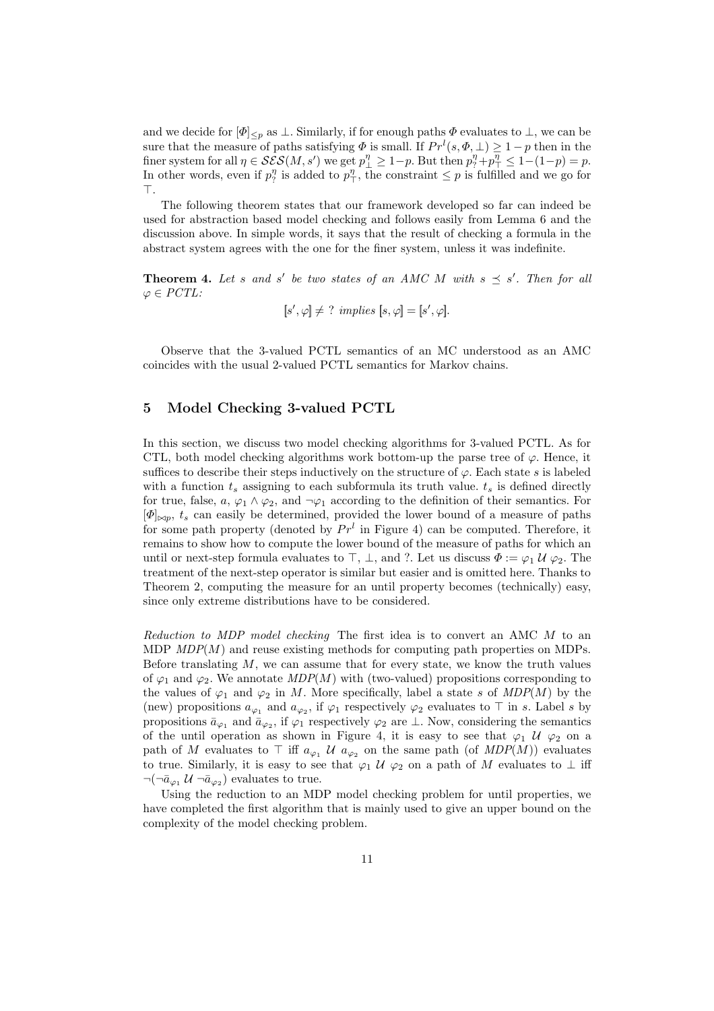and we decide for  $[\Phi]_{\leq p}$  as  $\perp$ . Similarly, if for enough paths  $\Phi$  evaluates to  $\perp$ , we can be sure that the measure of paths satisfying  $\Phi$  is small. If  $Pr^{l}(s, \Phi, \perp) \geq 1 - p$  then in the finer system for all  $\eta \in \mathcal{SES}(M, s')$  we get  $p_{\perp}^{\eta} \geq 1-p$ . But then  $p_{?}^{\eta} + p_{\top}^{\eta} \leq 1-(1-p) = p$ . In other words, even if  $p_7^{\eta}$  is added to  $p_7^{\eta}$ , the constraint  $\leq p$  is fulfilled and we go for  $T$ .

The following theorem states that our framework developed so far can indeed be used for abstraction based model checking and follows easily from Lemma 6 and the discussion above. In simple words, it says that the result of checking a formula in the abstract system agrees with the one for the finer system, unless it was indefinite.

**Theorem 4.** Let s and s' be two states of an AMC M with  $s \preceq s'$ . Then for all  $\varphi \in PCTL$ :

$$
[s', \varphi] \neq ? \ implies [s, \varphi] = [s', \varphi].
$$

Observe that the 3-valued PCTL semantics of an MC understood as an AMC coincides with the usual 2-valued PCTL semantics for Markov chains.

### 5 Model Checking 3-valued PCTL

In this section, we discuss two model checking algorithms for 3-valued PCTL. As for CTL, both model checking algorithms work bottom-up the parse tree of  $\varphi$ . Hence, it suffices to describe their steps inductively on the structure of  $\varphi$ . Each state s is labeled with a function  $t_s$  assigning to each subformula its truth value.  $t_s$  is defined directly for true, false,  $a, \varphi_1 \wedge \varphi_2$ , and  $\neg \varphi_1$  according to the definition of their semantics. For  $[\Phi]_{\bowtie p}$ ,  $t_s$  can easily be determined, provided the lower bound of a measure of paths for some path property (denoted by  $Pr<sup>l</sup>$  in Figure 4) can be computed. Therefore, it remains to show how to compute the lower bound of the measure of paths for which an until or next-step formula evaluates to  $\top$ ,  $\bot$ , and ?. Let us discuss  $\Phi := \varphi_1 \mathcal{U} \varphi_2$ . The treatment of the next-step operator is similar but easier and is omitted here. Thanks to Theorem 2, computing the measure for an until property becomes (technically) easy, since only extreme distributions have to be considered.

Reduction to MDP model checking The first idea is to convert an AMC M to an MDP  $MDP(M)$  and reuse existing methods for computing path properties on MDPs. Before translating  $M$ , we can assume that for every state, we know the truth values of  $\varphi_1$  and  $\varphi_2$ . We annotate  $MDP(M)$  with (two-valued) propositions corresponding to the values of  $\varphi_1$  and  $\varphi_2$  in M. More specifically, label a state s of MDP(M) by the (new) propositions  $a_{\varphi_1}$  and  $a_{\varphi_2}$ , if  $\varphi_1$  respectively  $\varphi_2$  evaluates to  $\top$  in s. Label s by propositions  $\bar{a}_{\varphi_1}$  and  $\bar{a}_{\varphi_2}$ , if  $\varphi_1$  respectively  $\varphi_2$  are  $\perp$ . Now, considering the semantics of the until operation as shown in Figure 4, it is easy to see that  $\varphi_1$  U  $\varphi_2$  on a path of M evaluates to  $\top$  iff  $a_{\varphi_1} \mathcal{U} a_{\varphi_2}$  on the same path (of  $MDP(M)$ ) evaluates to true. Similarly, it is easy to see that  $\varphi_1$  U  $\varphi_2$  on a path of M evaluates to  $\perp$  iff  $\neg(\neg \bar{a}_{\varphi_1} \mathcal{U} \neg \bar{a}_{\varphi_2})$  evaluates to true.

Using the reduction to an MDP model checking problem for until properties, we have completed the first algorithm that is mainly used to give an upper bound on the complexity of the model checking problem.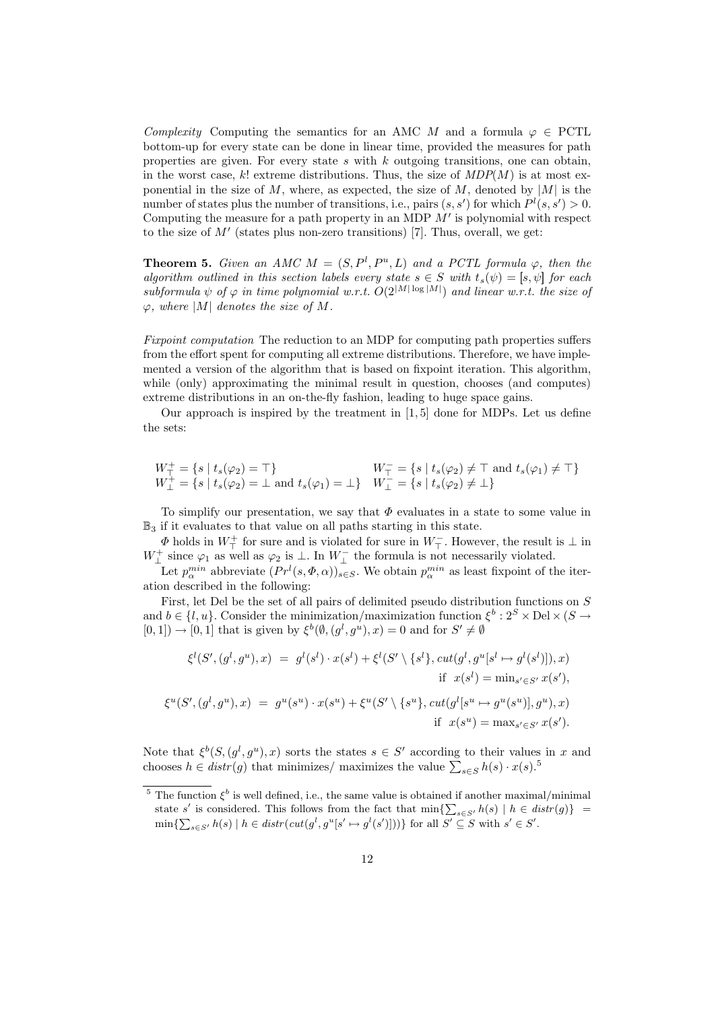Complexity Computing the semantics for an AMC M and a formula  $\varphi \in \text{PCTL}$ bottom-up for every state can be done in linear time, provided the measures for path properties are given. For every state s with  $k$  outgoing transitions, one can obtain, in the worst case, k! extreme distributions. Thus, the size of  $MDP(M)$  is at most exponential in the size of  $M$ , where, as expected, the size of  $M$ , denoted by  $|M|$  is the number of states plus the number of transitions, i.e., pairs  $(s, s')$  for which  $P^l(s, s') > 0$ . Computing the measure for a path property in an MDP  $M'$  is polynomial with respect to the size of  $M'$  (states plus non-zero transitions) [7]. Thus, overall, we get:

**Theorem 5.** Given an AMC  $M = (S, P^l, P^u, L)$  and a PCTL formula  $\varphi$ , then the algorithm outlined in this section labels every state  $s \in S$  with  $t_s(\psi) = [s, \psi]$  for each subformula  $\psi$  of  $\varphi$  in time polynomial w.r.t.  $O(2^{|M|\log|M|})$  and linear w.r.t. the size of  $\varphi$ , where |M| denotes the size of M.

Fixpoint computation The reduction to an MDP for computing path properties suffers from the effort spent for computing all extreme distributions. Therefore, we have implemented a version of the algorithm that is based on fixpoint iteration. This algorithm, while (only) approximating the minimal result in question, chooses (and computes) extreme distributions in an on-the-fly fashion, leading to huge space gains.

Our approach is inspired by the treatment in [1, 5] done for MDPs. Let us define the sets:

$$
W_{\perp}^{+} = \{ s \mid t_s(\varphi_2) = \top \} \qquad W_{\perp}^{-} = \{ s \mid t_s(\varphi_2) \neq \top \text{ and } t_s(\varphi_1) \neq \top \} W_{\perp}^{+} = \{ s \mid t_s(\varphi_2) = \bot \text{ and } t_s(\varphi_1) = \bot \} \qquad W_{\perp}^{-} = \{ s \mid t_s(\varphi_2) \neq \bot \}
$$

To simplify our presentation, we say that  $\Phi$  evaluates in a state to some value in  $\mathbb{B}_3$  if it evaluates to that value on all paths starting in this state.

 $\Phi$  holds in  $W^+$  for sure and is violated for sure in  $W^-_$ . However, the result is  $\perp$  in W<sup>+</sup> since  $\varphi_1$  as well as  $\varphi_2$  is ⊥. In W<sub>⊥</sub> the formula is not necessarily violated.

Let  $p_{\alpha}^{min}$  abbreviate  $(Pr^l(s, \Phi, \alpha))_{s \in S}$ . We obtain  $p_{\alpha}^{min}$  as least fixpoint of the iteration described in the following:

First, let Del be the set of all pairs of delimited pseudo distribution functions on S and  $b \in \{l, u\}$ . Consider the minimization/maximization function  $\xi^b : 2^S \times \mathrm{Del} \times (S \to \mathbb{R})$  $[0,1] \rightarrow [0,1]$  that is given by  $\xi^b(\emptyset, (g^l, g^u), x) = 0$  and for  $S' \neq \emptyset$ 

$$
\xi^{l}(S', (g^{l}, g^{u}), x) = g^{l}(s^{l}) \cdot x(s^{l}) + \xi^{l}(S' \setminus \{s^{l}\}, cut(g^{l}, g^{u}[s^{l} \mapsto g^{l}(s^{l})]), x)
$$
  
if  $x(s^{l}) = \min_{s' \in S'} x(s')$ ,  

$$
\xi^{u}(S', (g^{l}, g^{u}), x) = g^{u}(s^{u}) \cdot x(s^{u}) + \xi^{u}(S' \setminus \{s^{u}\}, cut(g^{l}[s^{u} \mapsto g^{u}(s^{u})], g^{u}), x)
$$
  
if  $x(s^{u}) = \max_{s' \in S'} x(s')$ .

Note that  $\xi^b(S, (g^l, g^u), x)$  sorts the states  $s \in S'$  according to their values in x and chooses  $h \in \text{distr}(g)$  that minimizes/ maximizes the value  $\sum_{s \in S} h(s) \cdot x(s)$ .<sup>5</sup>

<sup>&</sup>lt;sup>5</sup> The function  $\xi^b$  is well defined, i.e., the same value is obtained if another maximal/minimal state s' is considered. This follows from the fact that  $\min\{\sum_{s\in S'} h(s) \mid h \in \text{distr}(g)\}$  $\min\{\sum_{s\in S'} h(s) \mid h\in \text{distr}(\text{cut}(g^l, g^u[s'\mapsto g^l(s')]))\}$  for all  $S'\subseteq S$  with  $s'\in S'$ .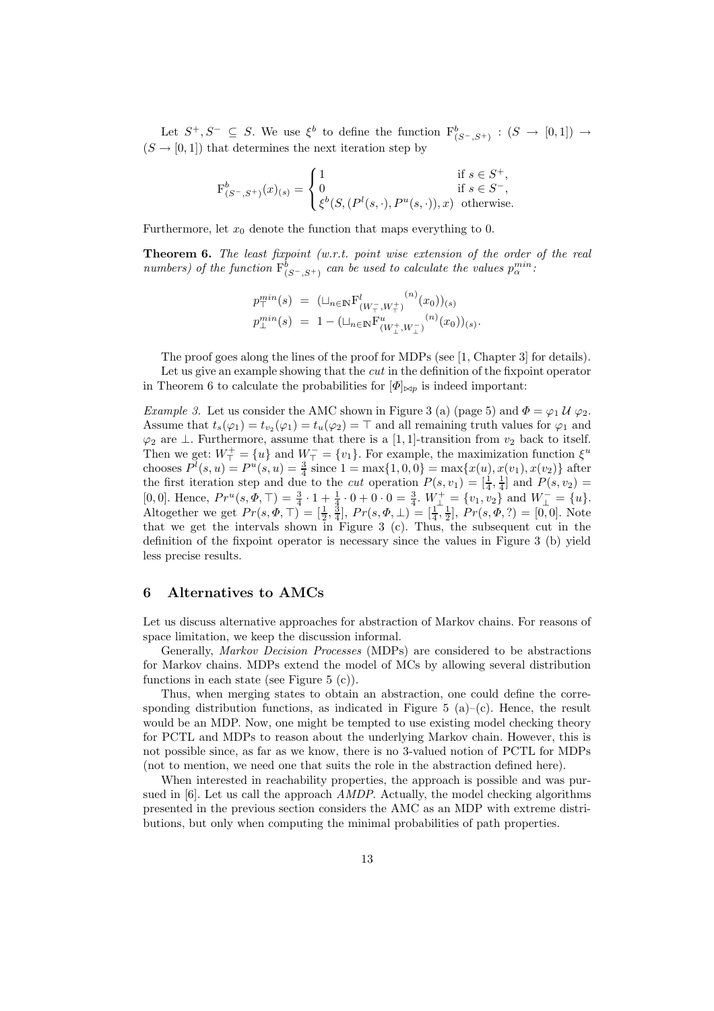Let  $S^+, S^- \subseteq S$ . We use  $\xi^b$  to define the function  $F^b_{(S^-,S^+)} : (S \to [0,1]) \to$  $(S \rightarrow [0,1])$  that determines the next iteration step by

$$
\mathcal{F}^{b}_{(S^-,S^+)}(x)_{(s)} = \begin{cases} 1 & \text{if } s \in S^+, \\ 0 & \text{if } s \in S^-, \\ \xi^b(S, (P^l(s,\cdot), P^u(s,\cdot)), x) & \text{otherwise.} \end{cases}
$$

Furthermore, let  $x_0$  denote the function that maps everything to 0.

**Theorem 6.** The least fixpoint (w.r.t. point wise extension of the order of the real numbers) of the function  $\mathbf{F}^b_{(S^-,S^+)}$  can be used to calculate the values  $p^{min}_{\alpha}$ :

$$
p_{\top}^{min}(s) = (\sqcup_{n \in \mathbb{N}} \mathcal{F}_{(W_{\top}^-, W_{\top}^+)}^{l}(n)(x_0))_{(s)}
$$
  

$$
p_{\perp}^{min}(s) = 1 - (\sqcup_{n \in \mathbb{N}} \mathcal{F}_{(W_{\perp}^+, W_{\perp}^-)}^{u}(n)(x_0))_{(s)}.
$$

The proof goes along the lines of the proof for MDPs (see [1, Chapter 3] for details). Let us give an example showing that the *cut* in the definition of the fixpoint operator in Theorem 6 to calculate the probabilities for  $[\Phi]_{\bowtie p}$  is indeed important:

*Example 3.* Let us consider the AMC shown in Figure 3 (a) (page 5) and  $\Phi = \varphi_1 \mathcal{U} \varphi_2$ . Assume that  $t_s(\varphi_1) = t_{v_2}(\varphi_1) = t_u(\varphi_2) = \top$  and all remaining truth values for  $\varphi_1$  and  $\varphi_2$  are ⊥. Furthermore, assume that there is a [1, 1]-transition from  $v_2$  back to itself. Then we get:  $W^+_\top = \{u\}$  and  $W^-_\top = \{v_1\}$ . For example, the maximization function  $\xi^u$ chooses  $P^l(s, u) = P^u(s, u) = \frac{3}{4}$  since  $1 = \max\{1, 0, 0\} = \max\{x(u), x(v_1), x(v_2)\}$  after the first iteration step and due to the *cut* operation  $P(s, v_1) = \left[\frac{1}{4}, \frac{1}{4}\right]$  and  $P(s, v_2) =$  $[0, 0]$ . Hence,  $Pr^u(s, \Phi, \top) = \frac{3}{4} \cdot 1 + \frac{1}{4} \cdot 0 + 0 \cdot 0 = \frac{3}{4}$ .  $W_+^+ = \{v_1, v_2\}$  and  $W_-^- = \{u\}$ . Altogether we get  $Pr(s, \Phi, \top) = [\frac{1}{2}, \frac{3}{4}], Pr(s, \Phi, \bot) = [\frac{1}{4}, \frac{1}{2}], Pr(s, \Phi, ?) = [0, 0].$  Note that we get the intervals shown in Figure 3 (c). Thus, the subsequent cut in the definition of the fixpoint operator is necessary since the values in Figure 3 (b) yield less precise results.

#### 6 Alternatives to AMCs

Let us discuss alternative approaches for abstraction of Markov chains. For reasons of space limitation, we keep the discussion informal.

Generally, Markov Decision Processes (MDPs) are considered to be abstractions for Markov chains. MDPs extend the model of MCs by allowing several distribution functions in each state (see Figure 5 (c)).

Thus, when merging states to obtain an abstraction, one could define the corresponding distribution functions, as indicated in Figure 5  $(a)$ –(c). Hence, the result would be an MDP. Now, one might be tempted to use existing model checking theory for PCTL and MDPs to reason about the underlying Markov chain. However, this is not possible since, as far as we know, there is no 3-valued notion of PCTL for MDPs (not to mention, we need one that suits the role in the abstraction defined here).

When interested in reachability properties, the approach is possible and was pursued in [6]. Let us call the approach *AMDP*. Actually, the model checking algorithms presented in the previous section considers the AMC as an MDP with extreme distributions, but only when computing the minimal probabilities of path properties.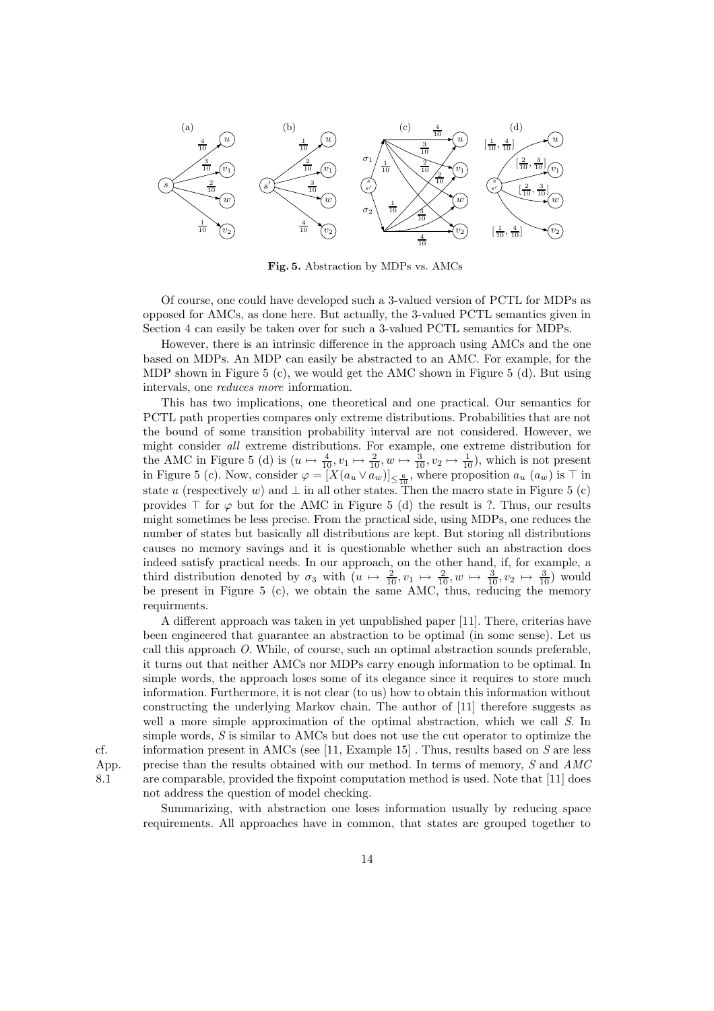

Fig. 5. Abstraction by MDPs vs. AMCs

Of course, one could have developed such a 3-valued version of PCTL for MDPs as opposed for AMCs, as done here. But actually, the 3-valued PCTL semantics given in Section 4 can easily be taken over for such a 3-valued PCTL semantics for MDPs.

However, there is an intrinsic difference in the approach using AMCs and the one based on MDPs. An MDP can easily be abstracted to an AMC. For example, for the MDP shown in Figure 5 (c), we would get the AMC shown in Figure 5 (d). But using intervals, one reduces more information.

This has two implications, one theoretical and one practical. Our semantics for PCTL path properties compares only extreme distributions. Probabilities that are not the bound of some transition probability interval are not considered. However, we might consider all extreme distributions. For example, one extreme distribution for the AMC in Figure 5 (d) is  $(u \mapsto \frac{4}{10}, v_1 \mapsto \frac{2}{10}, w \mapsto \frac{3}{10}, v_2 \mapsto \frac{1}{10})$ , which is not present in Figure 5 (c). Now, consider  $\varphi = [X(a_u \vee a_w)]_{\leq \frac{6}{10}}$ , where proposition  $a_u$   $(a_w)$  is  $\top$  in state u (respectively w) and  $\perp$  in all other states. Then the macro state in Figure 5 (c) provides  $\top$  for  $\varphi$  but for the AMC in Figure 5 (d) the result is ?. Thus, our results might sometimes be less precise. From the practical side, using MDPs, one reduces the number of states but basically all distributions are kept. But storing all distributions causes no memory savings and it is questionable whether such an abstraction does indeed satisfy practical needs. In our approach, on the other hand, if, for example, a third distribution denoted by  $\sigma_3$  with  $(u \mapsto \frac{2}{10}, v_1 \mapsto \frac{2}{10}, w \mapsto \frac{3}{10}, v_2 \mapsto \frac{3}{10})$  would be present in Figure 5 (c), we obtain the same AMC, thus, reducing the memory requirments.

A different approach was taken in yet unpublished paper [11]. There, criterias have been engineered that guarantee an abstraction to be optimal (in some sense). Let us call this approach O. While, of course, such an optimal abstraction sounds preferable, it turns out that neither AMCs nor MDPs carry enough information to be optimal. In simple words, the approach loses some of its elegance since it requires to store much information. Furthermore, it is not clear (to us) how to obtain this information without constructing the underlying Markov chain. The author of [11] therefore suggests as well a more simple approximation of the optimal abstraction, which we call S. In simple words, S is similar to AMCs but does not use the cut operator to optimize the cf. information present in AMCs (see [11, Example  $15$ ]. Thus, results based on S are less precise than the results obtained with our method. In terms of memory, S and AMC are comparable, provided the fixpoint computation method is used. Note that [11] does not address the question of model checking.

Summarizing, with abstraction one loses information usually by reducing space requirements. All approaches have in common, that states are grouped together to

App. 8.1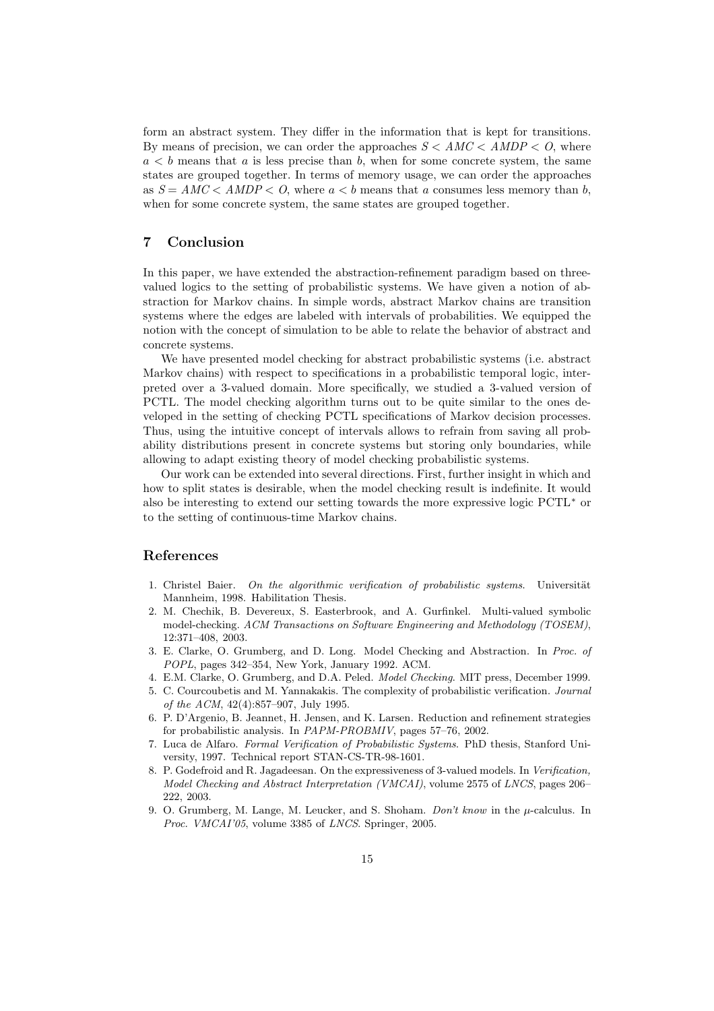form an abstract system. They differ in the information that is kept for transitions. By means of precision, we can order the approaches  $S < AMC < AMDP < O$ , where  $a < b$  means that a is less precise than b, when for some concrete system, the same states are grouped together. In terms of memory usage, we can order the approaches as  $S = AMC < AMDP < O$ , where  $a < b$  means that a consumes less memory than b, when for some concrete system, the same states are grouped together.

## 7 Conclusion

In this paper, we have extended the abstraction-refinement paradigm based on threevalued logics to the setting of probabilistic systems. We have given a notion of abstraction for Markov chains. In simple words, abstract Markov chains are transition systems where the edges are labeled with intervals of probabilities. We equipped the notion with the concept of simulation to be able to relate the behavior of abstract and concrete systems.

We have presented model checking for abstract probabilistic systems (i.e. abstract Markov chains) with respect to specifications in a probabilistic temporal logic, interpreted over a 3-valued domain. More specifically, we studied a 3-valued version of PCTL. The model checking algorithm turns out to be quite similar to the ones developed in the setting of checking PCTL specifications of Markov decision processes. Thus, using the intuitive concept of intervals allows to refrain from saving all probability distributions present in concrete systems but storing only boundaries, while allowing to adapt existing theory of model checking probabilistic systems.

Our work can be extended into several directions. First, further insight in which and how to split states is desirable, when the model checking result is indefinite. It would also be interesting to extend our setting towards the more expressive logic PCTL<sup>∗</sup> or to the setting of continuous-time Markov chains.

#### References

- 1. Christel Baier. On the algorithmic verification of probabilistic systems. Universität Mannheim, 1998. Habilitation Thesis.
- 2. M. Chechik, B. Devereux, S. Easterbrook, and A. Gurfinkel. Multi-valued symbolic model-checking. ACM Transactions on Software Engineering and Methodology (TOSEM), 12:371–408, 2003.
- 3. E. Clarke, O. Grumberg, and D. Long. Model Checking and Abstraction. In Proc. of POPL, pages 342–354, New York, January 1992. ACM.
- 4. E.M. Clarke, O. Grumberg, and D.A. Peled. Model Checking. MIT press, December 1999.
- 5. C. Courcoubetis and M. Yannakakis. The complexity of probabilistic verification. Journal of the ACM, 42(4):857–907, July 1995.
- 6. P. D'Argenio, B. Jeannet, H. Jensen, and K. Larsen. Reduction and refinement strategies for probabilistic analysis. In PAPM-PROBMIV, pages 57–76, 2002.
- 7. Luca de Alfaro. Formal Verification of Probabilistic Systems. PhD thesis, Stanford University, 1997. Technical report STAN-CS-TR-98-1601.
- 8. P. Godefroid and R. Jagadeesan. On the expressiveness of 3-valued models. In Verification, Model Checking and Abstract Interpretation (VMCAI), volume 2575 of LNCS, pages 206– 222, 2003.
- 9. O. Grumberg, M. Lange, M. Leucker, and S. Shoham. Don't know in the  $\mu$ -calculus. In Proc. VMCAI'05, volume 3385 of LNCS. Springer, 2005.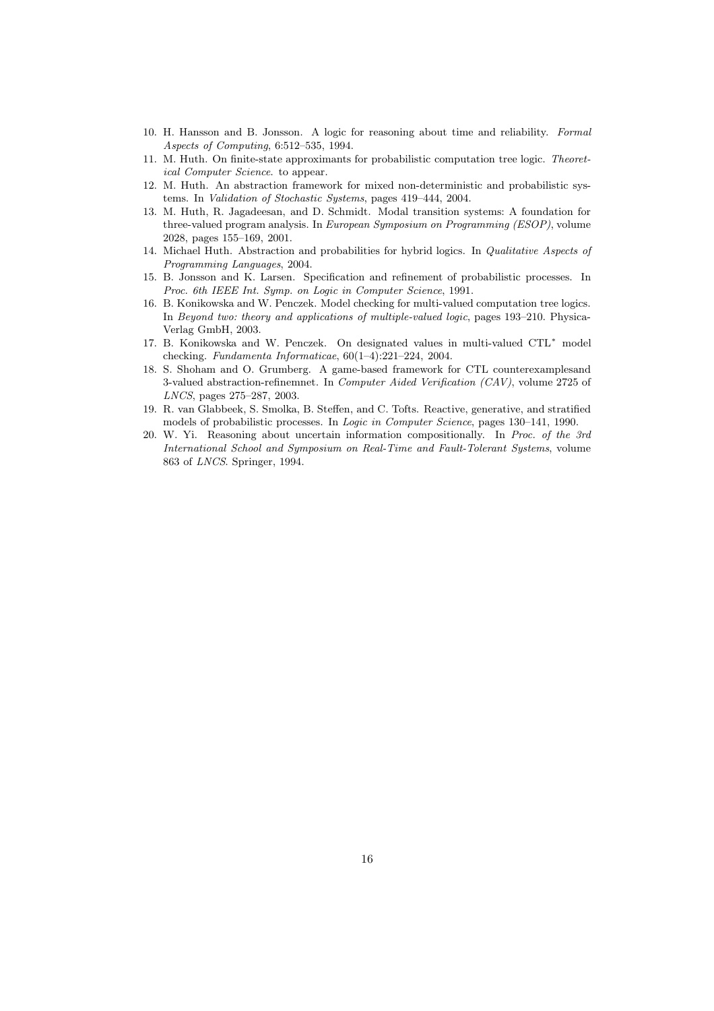- 10. H. Hansson and B. Jonsson. A logic for reasoning about time and reliability. Formal Aspects of Computing, 6:512–535, 1994.
- 11. M. Huth. On finite-state approximants for probabilistic computation tree logic. Theoretical Computer Science. to appear.
- 12. M. Huth. An abstraction framework for mixed non-deterministic and probabilistic systems. In Validation of Stochastic Systems, pages 419–444, 2004.
- 13. M. Huth, R. Jagadeesan, and D. Schmidt. Modal transition systems: A foundation for three-valued program analysis. In European Symposium on Programming (ESOP), volume 2028, pages 155–169, 2001.
- 14. Michael Huth. Abstraction and probabilities for hybrid logics. In Qualitative Aspects of Programming Languages, 2004.
- 15. B. Jonsson and K. Larsen. Specification and refinement of probabilistic processes. In Proc. 6th IEEE Int. Symp. on Logic in Computer Science, 1991.
- 16. B. Konikowska and W. Penczek. Model checking for multi-valued computation tree logics. In Beyond two: theory and applications of multiple-valued logic, pages 193–210. Physica-Verlag GmbH, 2003.
- 17. B. Konikowska and W. Penczek. On designated values in multi-valued CTL<sup>∗</sup> model checking. Fundamenta Informaticae, 60(1–4):221–224, 2004.
- 18. S. Shoham and O. Grumberg. A game-based framework for CTL counterexamplesand 3-valued abstraction-refinemnet. In Computer Aided Verification (CAV), volume 2725 of LNCS, pages 275–287, 2003.
- 19. R. van Glabbeek, S. Smolka, B. Steffen, and C. Tofts. Reactive, generative, and stratified models of probabilistic processes. In Logic in Computer Science, pages 130–141, 1990.
- 20. W. Yi. Reasoning about uncertain information compositionally. In Proc. of the 3rd International School and Symposium on Real-Time and Fault-Tolerant Systems, volume 863 of LNCS. Springer, 1994.